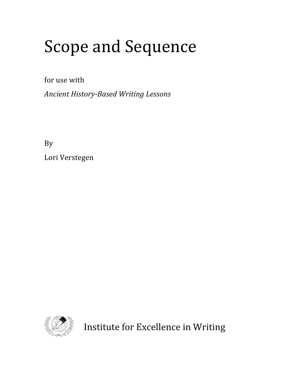## Scope
and
Sequence

for
use
with

Ancient History-Based Writing Lessons

By

Lori
Verstegen



Institute
for
Excellence
in
Writing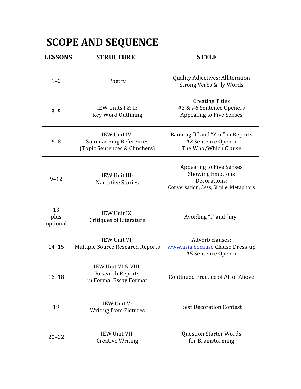## **SCOPE
AND
SEQUENCE**

| <b>LESSONS</b>         | <b>STRUCTURE</b>                                                               | <b>STYLE</b>                                                                                                        |
|------------------------|--------------------------------------------------------------------------------|---------------------------------------------------------------------------------------------------------------------|
| $1 - 2$                | Poetry                                                                         | Quality Adjectives; Alliteration<br>Strong Verbs & -ly Words                                                        |
| $3 - 5$                | IEW Units I & II:<br><b>Key Word Outlining</b>                                 | <b>Creating Titles</b><br>#3 & #6 Sentence Openers<br><b>Appealing to Five Senses</b>                               |
| $6 - 8$                | IEW Unit IV:<br><b>Summarizing References</b><br>(Topic Sentences & Clinchers) | Banning "I" and "You" in Reports<br>#2 Sentence Opener<br>The Who/Which Clause                                      |
| $9 - 12$               | IEW Unit III:<br><b>Narrative Stories</b>                                      | <b>Appealing to Five Senses</b><br><b>Showing Emotions</b><br>Decorations:<br>Conversation, 3sss, Simile, Metaphors |
| 13<br>plus<br>optional | IEW Unit IX:<br><b>Critiques of Literature</b>                                 | Avoiding "I" and "my"                                                                                               |
| $14 - 15$              | IEW Unit VI:<br><b>Multiple Source Research Reports</b>                        | Adverb clauses:<br>www.asia.because Clause Dress-up<br>#5 Sentence Opener                                           |
| $16 - 18$              | IEW Unit VI & VIII:<br><b>Research Reports</b><br>in Formal Essay Format       | Continued Practice of All of Above                                                                                  |
| 19                     | IEW Unit V:<br><b>Writing from Pictures</b>                                    | <b>Best Decoration Contest</b>                                                                                      |
| $20 - 22$              | IEW Unit VII:<br><b>Creative Writing</b>                                       | <b>Question Starter Words</b><br>for Brainstorming                                                                  |